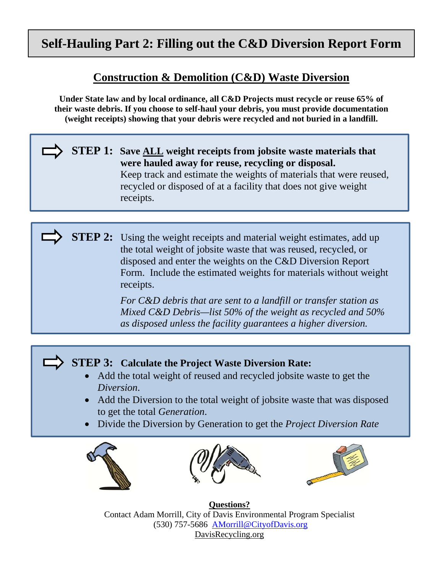# **Self-Hauling Part 2: Filling out the C&D Diversion Report Form**

### **Construction & Demolition (C&D) Waste Diversion**

**Under State law and by local ordinance, all C&D Projects must recycle or reuse 65% of their waste debris. If you choose to self-haul your debris, you must provide documentation (weight receipts) showing that your debris were recycled and not buried in a landfill.**

### **STEP 1: Save ALL weight receipts from jobsite waste materials that were hauled away for reuse, recycling or disposal.** Keep track and estimate the weights of materials that were reused, recycled or disposed of at a facility that does not give weight receipts.

**STEP 2:** Using the weight receipts and material weight estimates, add up the total weight of jobsite waste that was reused, recycled, or disposed and enter the weights on the C&D Diversion Report Form. Include the estimated weights for materials without weight receipts.

> *For C&D debris that are sent to a landfill or transfer station as Mixed C&D Debris—list 50% of the weight as recycled and 50% as disposed unless the facility guarantees a higher diversion.*

## **STEP 3: Calculate the Project Waste Diversion Rate:**

- Add the total weight of reused and recycled jobsite waste to get the *Diversion*.
- Add the Diversion to the total weight of jobsite waste that was disposed to get the total *Generation*.
- Divide the Diversion by Generation to get the *Project Diversion Rate*







**Questions?**  Contact Adam Morrill, City of Davis Environmental Program Specialist (530) 757-5686 AMorrill@CityofDavis.org DavisRecycling.org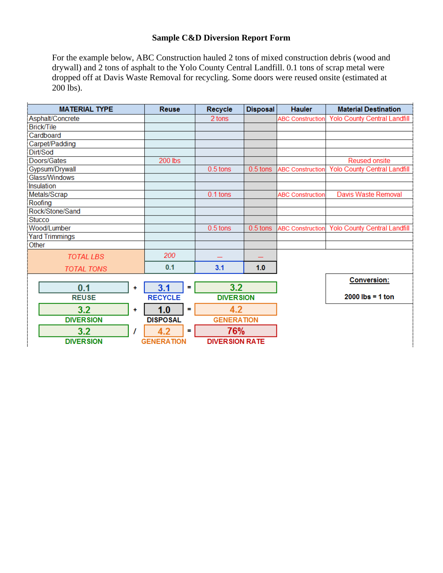#### **Sample C&D Diversion Report Form**

For the example below, ABC Construction hauled 2 tons of mixed construction debris (wood and drywall) and 2 tons of asphalt to the Yolo County Central Landfill. 0.1 tons of scrap metal were dropped off at Davis Waste Removal for recycling. Some doors were reused onsite (estimated at 200 lbs).

| <b>MATERIAL TYPE</b>           | <b>Reuse</b>          | Recycle               | <b>Disposal</b> | <b>Hauler</b>           | <b>Material Destination</b>         |
|--------------------------------|-----------------------|-----------------------|-----------------|-------------------------|-------------------------------------|
| Asphalt/Concrete               |                       | 2 tons                |                 | <b>ABC Construction</b> | <b>Yolo County Central Landfill</b> |
| <b>Brick/Tile</b>              |                       |                       |                 |                         |                                     |
| Cardboard                      |                       |                       |                 |                         |                                     |
| Carpet/Padding                 |                       |                       |                 |                         |                                     |
| Dirt/Sod                       |                       |                       |                 |                         |                                     |
| Doors/Gates                    | 200 lbs               |                       |                 |                         | <b>Reused onsite</b>                |
| Gypsum/Drywall                 |                       | $0.5$ tons            | $0.5$ tons      | <b>ABC Construction</b> | <b>Yolo County Central Landfill</b> |
| Glass/Windows                  |                       |                       |                 |                         |                                     |
| Insulation                     |                       |                       |                 |                         |                                     |
| Metals/Scrap                   |                       | 0.1 tons              |                 | <b>ABC Construction</b> | Davis Waste Removal                 |
| Roofing                        |                       |                       |                 |                         |                                     |
| Rock/Stone/Sand                |                       |                       |                 |                         |                                     |
| <b>Stucco</b>                  |                       |                       |                 |                         |                                     |
| Wood/Lumber                    |                       | $0.5$ tons            | $0.5$ tons      | <b>ABC Construction</b> | <b>Yolo County Central Landfill</b> |
| <b>Yard Trimmings</b><br>Other |                       |                       |                 |                         |                                     |
|                                |                       |                       |                 |                         |                                     |
| <b>TOTAL LBS</b>               | 200                   |                       |                 |                         |                                     |
| <b>TOTAL TONS</b>              | 0.1                   | 3.1                   | 1.0             |                         |                                     |
|                                |                       |                       |                 |                         | <b>Conversion:</b>                  |
| 0.1<br>÷                       | 3.1<br>$\blacksquare$ | 3.2                   |                 |                         |                                     |
| <b>REUSE</b>                   | <b>RECYCLE</b>        | <b>DIVERSION</b>      |                 |                         | $2000$ lbs = 1 ton                  |
| 3.2<br>٠                       | 1.0<br>÷              | 4.2                   |                 |                         |                                     |
| <b>DIVERSION</b>               | <b>DISPOSAL</b>       | <b>GENERATION</b>     |                 |                         |                                     |
| 3.2                            | 4.2<br>$\blacksquare$ | 76%                   |                 |                         |                                     |
| <b>DIVERSION</b>               | <b>GENERATION</b>     | <b>DIVERSION RATE</b> |                 |                         |                                     |